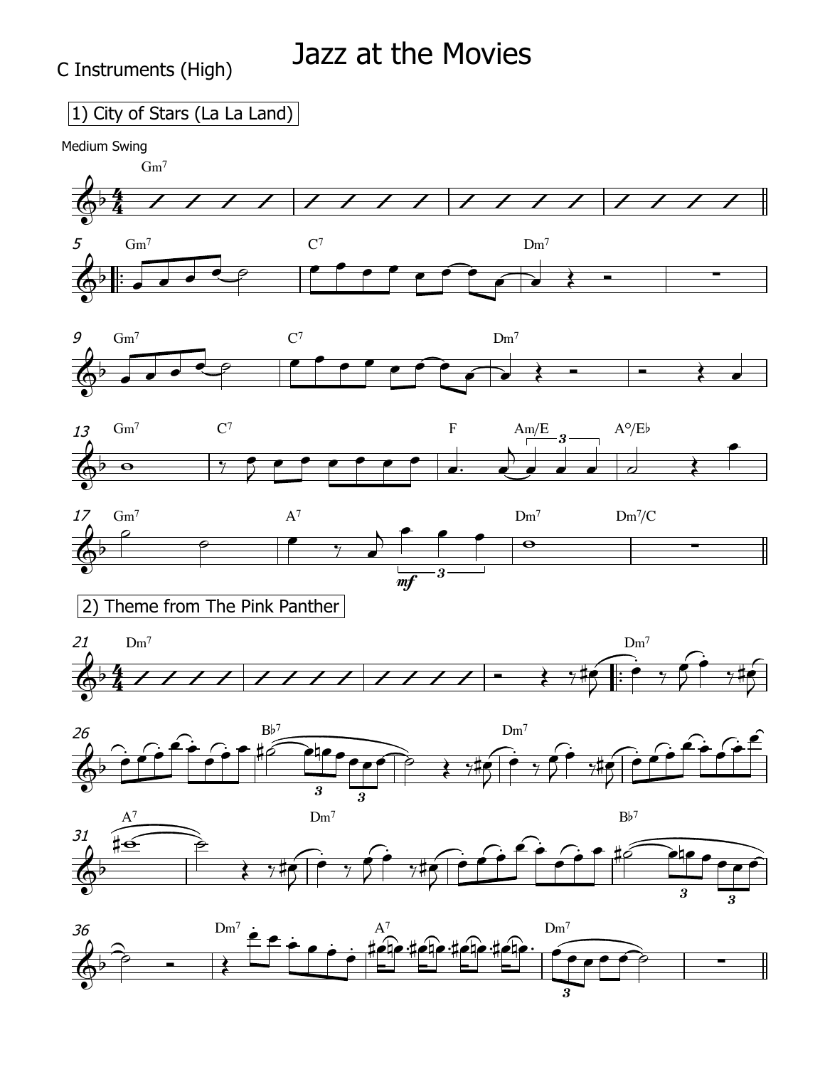## 1) City of Stars (La La Land)

Medium Swing



3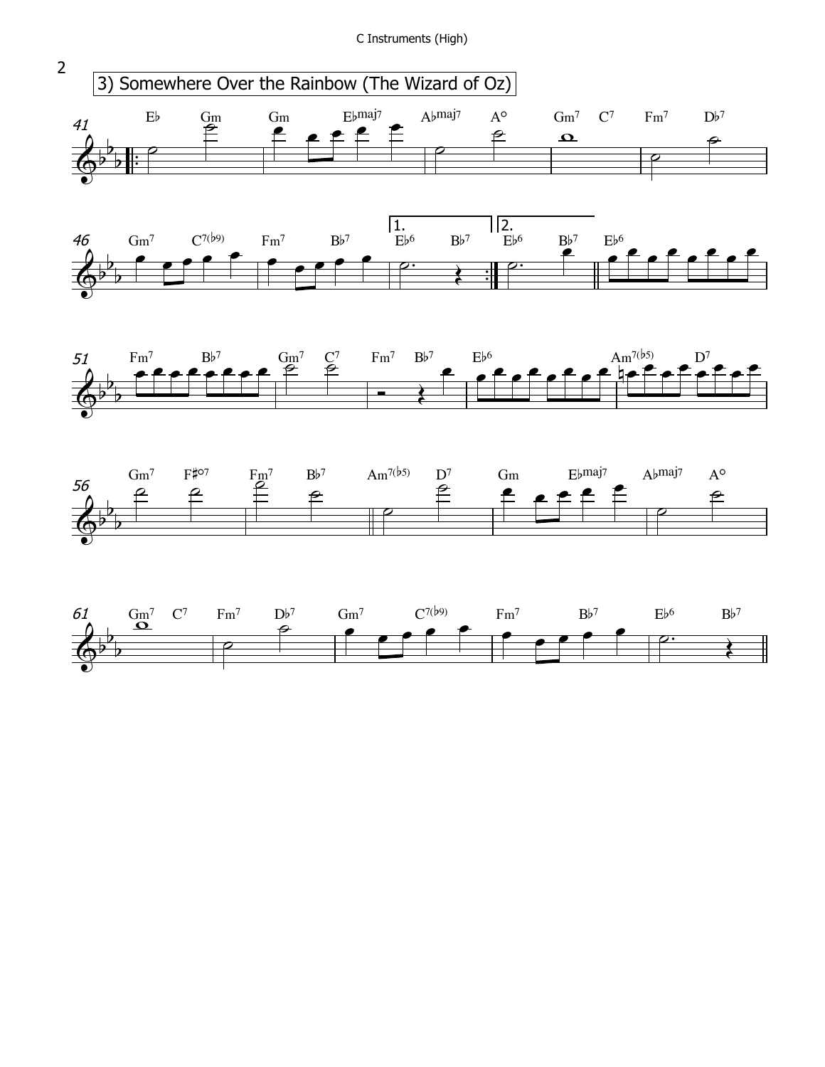C Instruments (High)



 $\overline{2}$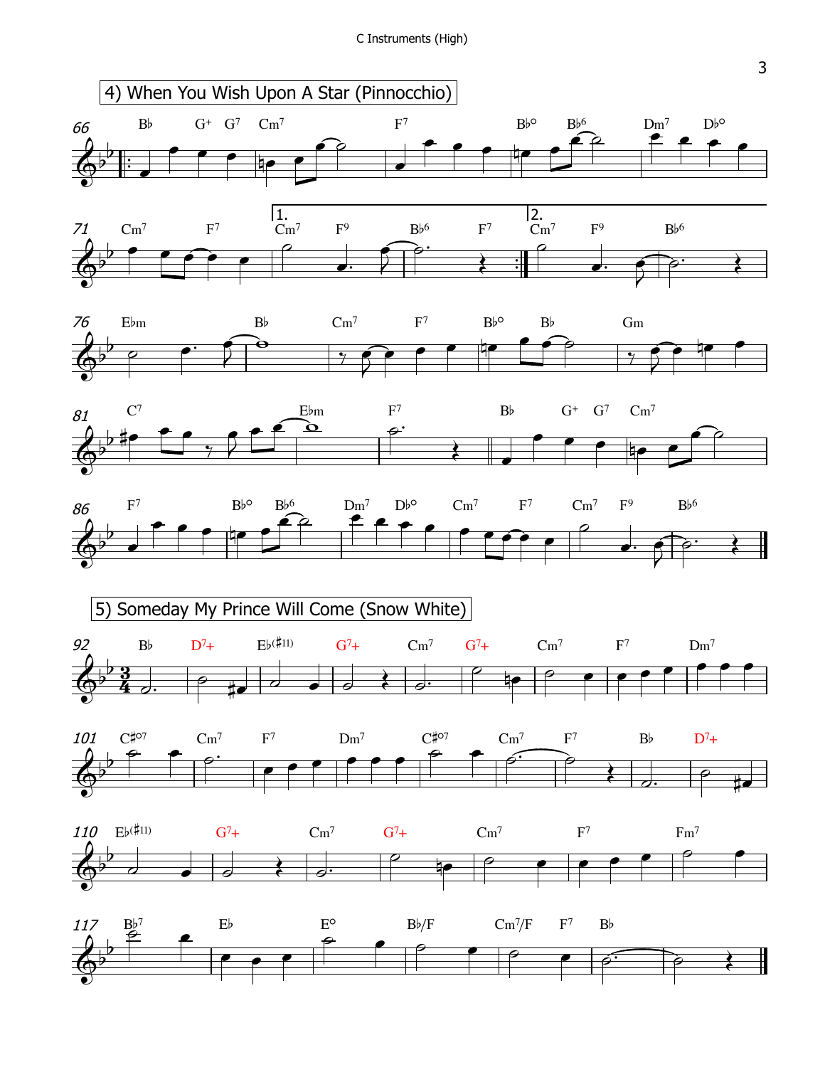